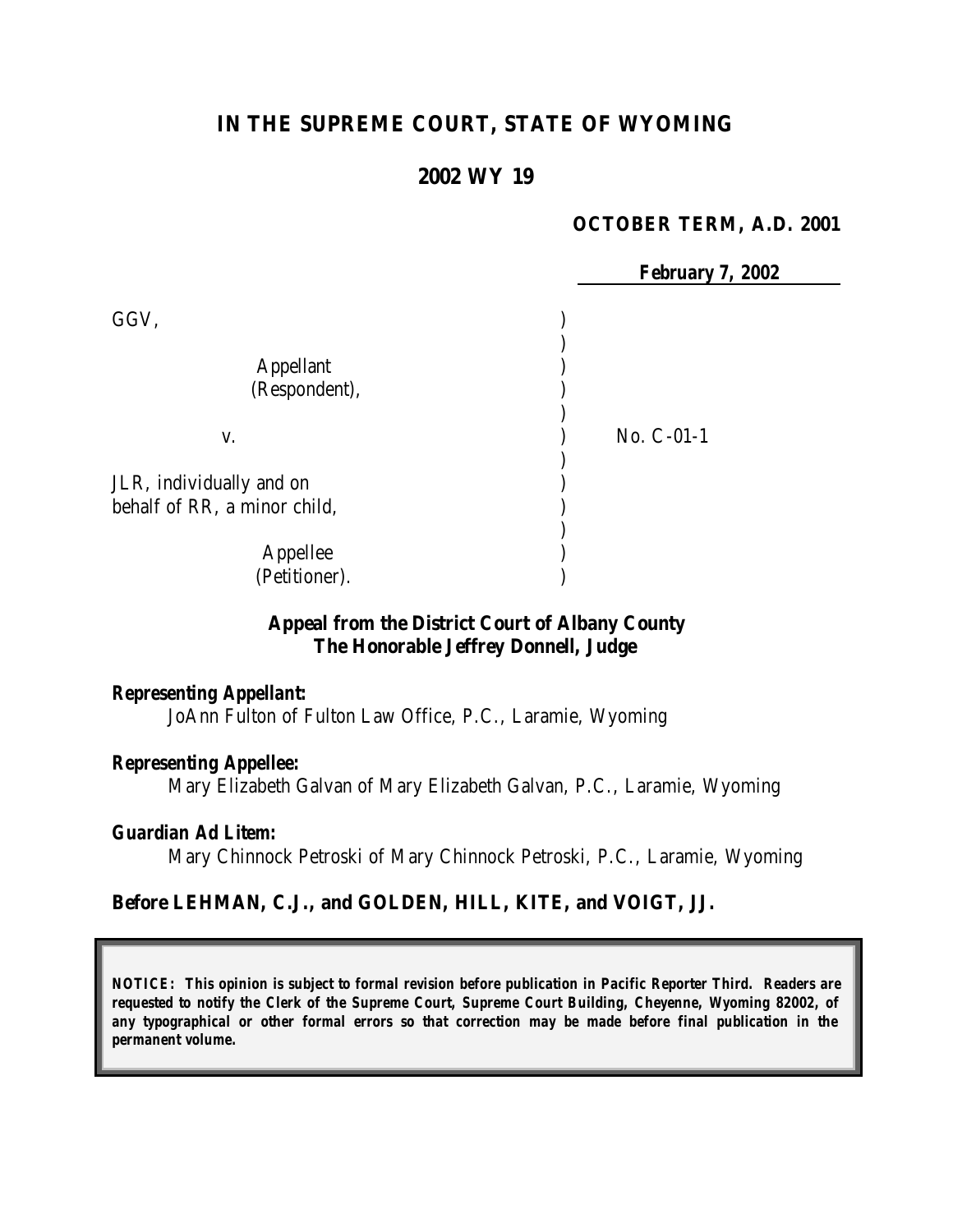# **IN THE SUPREME COURT, STATE OF WYOMING**

# **2002 WY 19**

#### **OCTOBER TERM, A.D. 2001**

 *February 7, 2002*  $GGV,$  ) ) Appellant (1) (Respondent), ) v. ) No. C-01-1 ) JLR, individually and on ) behalf of RR, a minor child, ) Appellee ) (Petitioner).

#### **Appeal from the District Court of Albany County The Honorable Jeffrey Donnell, Judge**

#### *Representing Appellant:*

JoAnn Fulton of Fulton Law Office, P.C., Laramie, Wyoming

#### *Representing Appellee:*

Mary Elizabeth Galvan of Mary Elizabeth Galvan, P.C., Laramie, Wyoming

#### *Guardian Ad Litem:*

Mary Chinnock Petroski of Mary Chinnock Petroski, P.C., Laramie, Wyoming

#### **Before LEHMAN, C.J., and GOLDEN, HILL, KITE, and VOIGT, JJ.**

*NOTICE: This opinion is subject to formal revision before publication in Pacific Reporter Third. Readers are requested to notify the Clerk of the Supreme Court, Supreme Court Building, Cheyenne, Wyoming 82002, of any typographical or other formal errors so that correction may be made before final publication in the permanent volume.*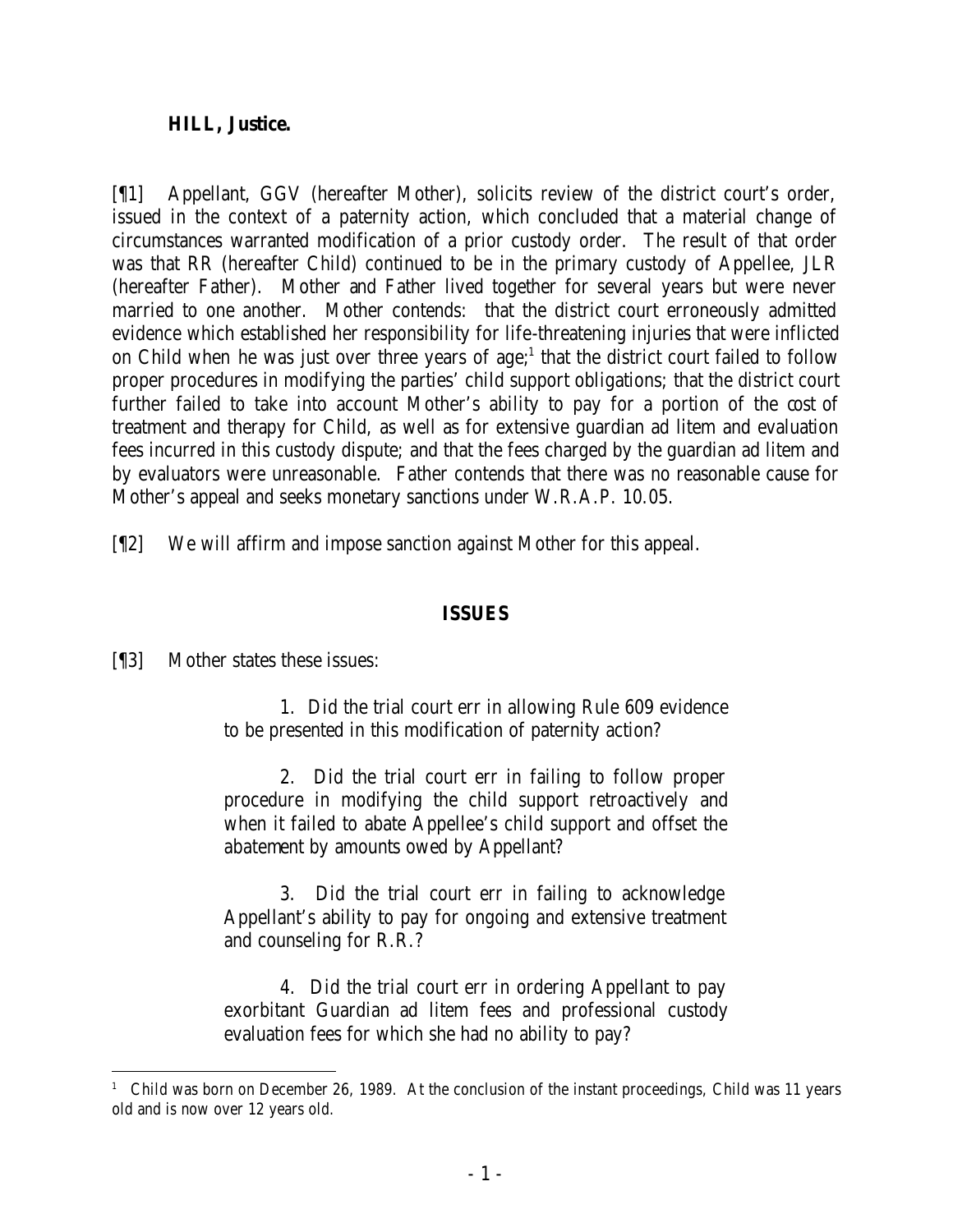#### **HILL, Justice.**

[¶1] Appellant, GGV (hereafter Mother), solicits review of the district court's order, issued in the context of a paternity action, which concluded that a material change of circumstances warranted modification of a prior custody order. The result of that order was that RR (hereafter Child) continued to be in the primary custody of Appellee, JLR (hereafter Father). Mother and Father lived together for several years but were never married to one another. Mother contends: that the district court erroneously admitted evidence which established her responsibility for life-threatening injuries that were inflicted on Child when he was just over three years of  $age;$ <sup>1</sup> that the district court failed to follow proper procedures in modifying the parties' child support obligations; that the district court further failed to take into account Mother's ability to pay for a portion of the cost of treatment and therapy for Child, as well as for extensive guardian ad litem and evaluation fees incurred in this custody dispute; and that the fees charged by the guardian ad litem and by evaluators were unreasonable. Father contends that there was no reasonable cause for Mother's appeal and seeks monetary sanctions under W.R.A.P. 10.05.

[¶2] We will affirm and impose sanction against Mother for this appeal.

## **ISSUES**

[¶3] Mother states these issues:

1. Did the trial court err in allowing Rule 609 evidence to be presented in this modification of paternity action?

2. Did the trial court err in failing to follow proper procedure in modifying the child support retroactively and when it failed to abate Appellee's child support and offset the abatement by amounts owed by Appellant?

3. Did the trial court err in failing to acknowledge Appellant's ability to pay for ongoing and extensive treatment and counseling for R.R.?

4. Did the trial court err in ordering Appellant to pay exorbitant Guardian ad litem fees and professional custody evaluation fees for which she had no ability to pay?

<sup>&</sup>lt;sup>1</sup> Child was born on December 26, 1989. At the conclusion of the instant proceedings, Child was 11 years old and is now over 12 years old.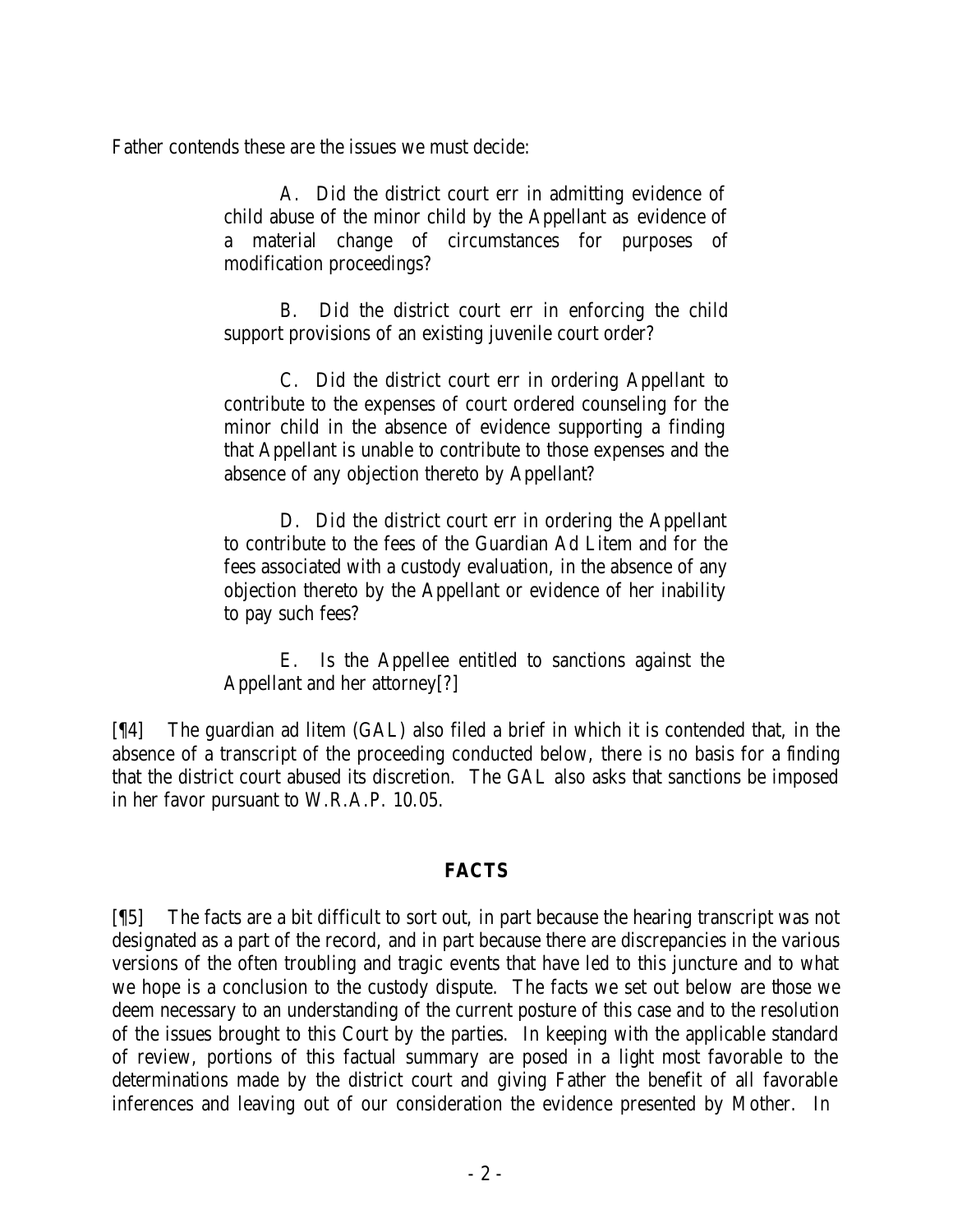Father contends these are the issues we must decide:

A. Did the district court err in admitting evidence of child abuse of the minor child by the Appellant as evidence of a material change of circumstances for purposes of modification proceedings?

B. Did the district court err in enforcing the child support provisions of an existing juvenile court order?

C. Did the district court err in ordering Appellant to contribute to the expenses of court ordered counseling for the minor child in the absence of evidence supporting a finding that Appellant is unable to contribute to those expenses and the absence of any objection thereto by Appellant?

D. Did the district court err in ordering the Appellant to contribute to the fees of the Guardian Ad Litem and for the fees associated with a custody evaluation, in the absence of any objection thereto by the Appellant or evidence of her inability to pay such fees?

E. Is the Appellee entitled to sanctions against the Appellant and her attorney[?]

[¶4] The guardian ad litem (GAL) also filed a brief in which it is contended that, in the absence of a transcript of the proceeding conducted below, there is no basis for a finding that the district court abused its discretion. The GAL also asks that sanctions be imposed in her favor pursuant to W.R.A.P. 10.05.

### **FACTS**

[¶5] The facts are a bit difficult to sort out, in part because the hearing transcript was not designated as a part of the record, and in part because there are discrepancies in the various versions of the often troubling and tragic events that have led to this juncture and to what we hope is a conclusion to the custody dispute. The facts we set out below are those we deem necessary to an understanding of the current posture of this case and to the resolution of the issues brought to this Court by the parties. In keeping with the applicable standard of review, portions of this factual summary are posed in a light most favorable to the determinations made by the district court and giving Father the benefit of all favorable inferences and leaving out of our consideration the evidence presented by Mother. In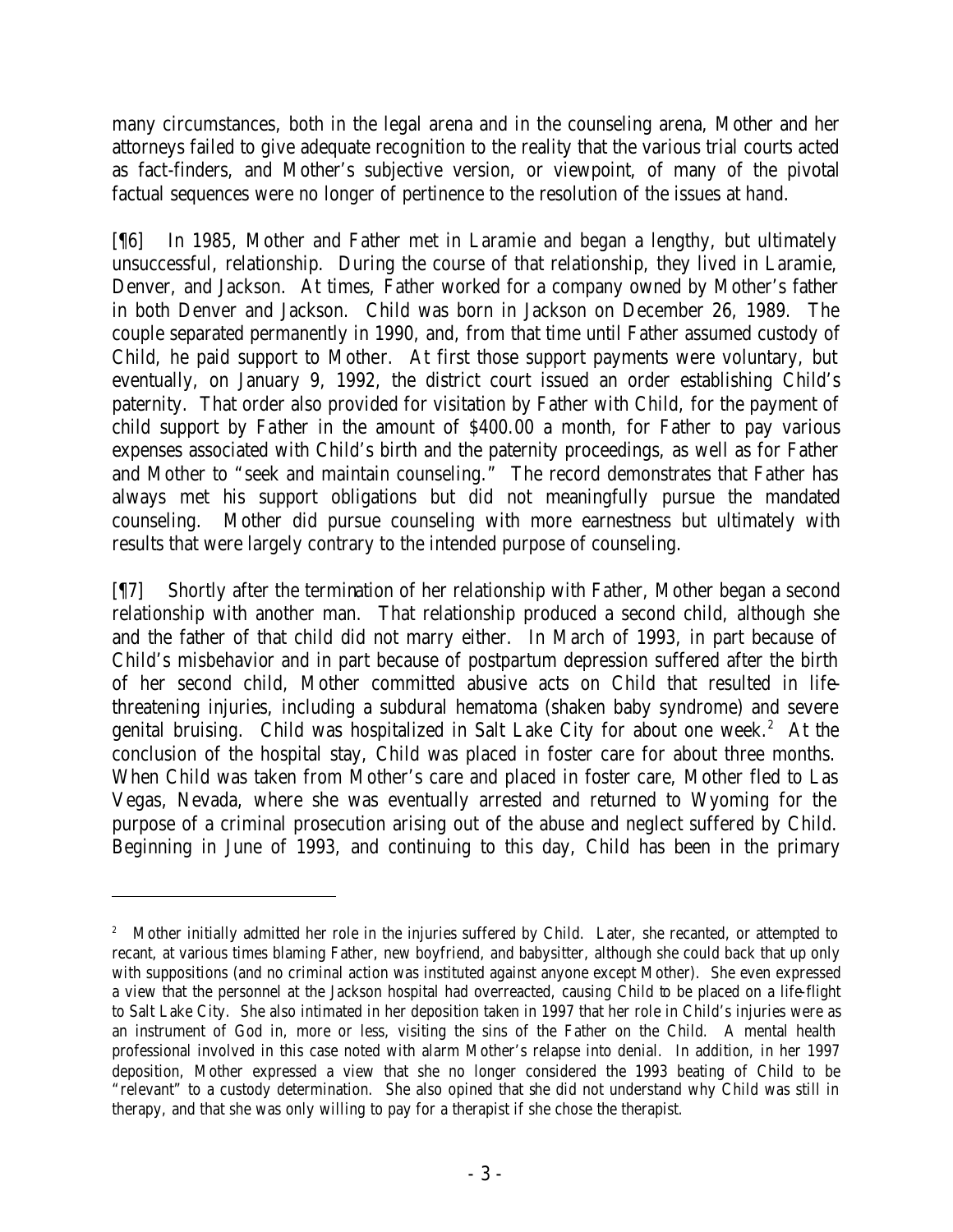many circumstances, both in the legal arena and in the counseling arena, Mother and her attorneys failed to give adequate recognition to the reality that the various trial courts acted as fact-finders, and Mother's subjective version, or viewpoint, of many of the pivotal factual sequences were no longer of pertinence to the resolution of the issues at hand.

[¶6] In 1985, Mother and Father met in Laramie and began a lengthy, but ultimately unsuccessful, relationship. During the course of that relationship, they lived in Laramie, Denver, and Jackson. At times, Father worked for a company owned by Mother's father in both Denver and Jackson. Child was born in Jackson on December 26, 1989. The couple separated permanently in 1990, and, from that time until Father assumed custody of Child, he paid support to Mother. At first those support payments were voluntary, but eventually, on January 9, 1992, the district court issued an order establishing Child's paternity. That order also provided for visitation by Father with Child, for the payment of child support by Father in the amount of \$400.00 a month, for Father to pay various expenses associated with Child's birth and the paternity proceedings, as well as for Father and Mother to "seek and maintain counseling." The record demonstrates that Father has always met his support obligations but did not meaningfully pursue the mandated counseling. Mother did pursue counseling with more earnestness but ultimately with results that were largely contrary to the intended purpose of counseling.

[¶7] Shortly after the termination of her relationship with Father, Mother began a second relationship with another man. That relationship produced a second child, although she and the father of that child did not marry either. In March of 1993, in part because of Child's misbehavior and in part because of postpartum depression suffered after the birth of her second child, Mother committed abusive acts on Child that resulted in lifethreatening injuries, including a subdural hematoma (shaken baby syndrome) and severe genital bruising. Child was hospitalized in Salt Lake City for about one week.<sup>2</sup> At the conclusion of the hospital stay, Child was placed in foster care for about three months. When Child was taken from Mother's care and placed in foster care, Mother fled to Las Vegas, Nevada, where she was eventually arrested and returned to Wyoming for the purpose of a criminal prosecution arising out of the abuse and neglect suffered by Child. Beginning in June of 1993, and continuing to this day, Child has been in the primary

<sup>&</sup>lt;sup>2</sup> Mother initially admitted her role in the injuries suffered by Child. Later, she recanted, or attempted to recant, at various times blaming Father, new boyfriend, and babysitter, although she could back that up only with suppositions (and no criminal action was instituted against anyone except Mother). She even expressed a view that the personnel at the Jackson hospital had overreacted, causing Child to be placed on a life-flight to Salt Lake City. She also intimated in her deposition taken in 1997 that her role in Child's injuries were as an instrument of God in, more or less, visiting the sins of the Father on the Child. A mental health professional involved in this case noted with alarm Mother's relapse into denial. In addition, in her 1997 deposition, Mother expressed a view that she no longer considered the 1993 beating of Child to be "relevant" to a custody determination. She also opined that she did not understand why Child was still in therapy, and that she was only willing to pay for a therapist if she chose the therapist.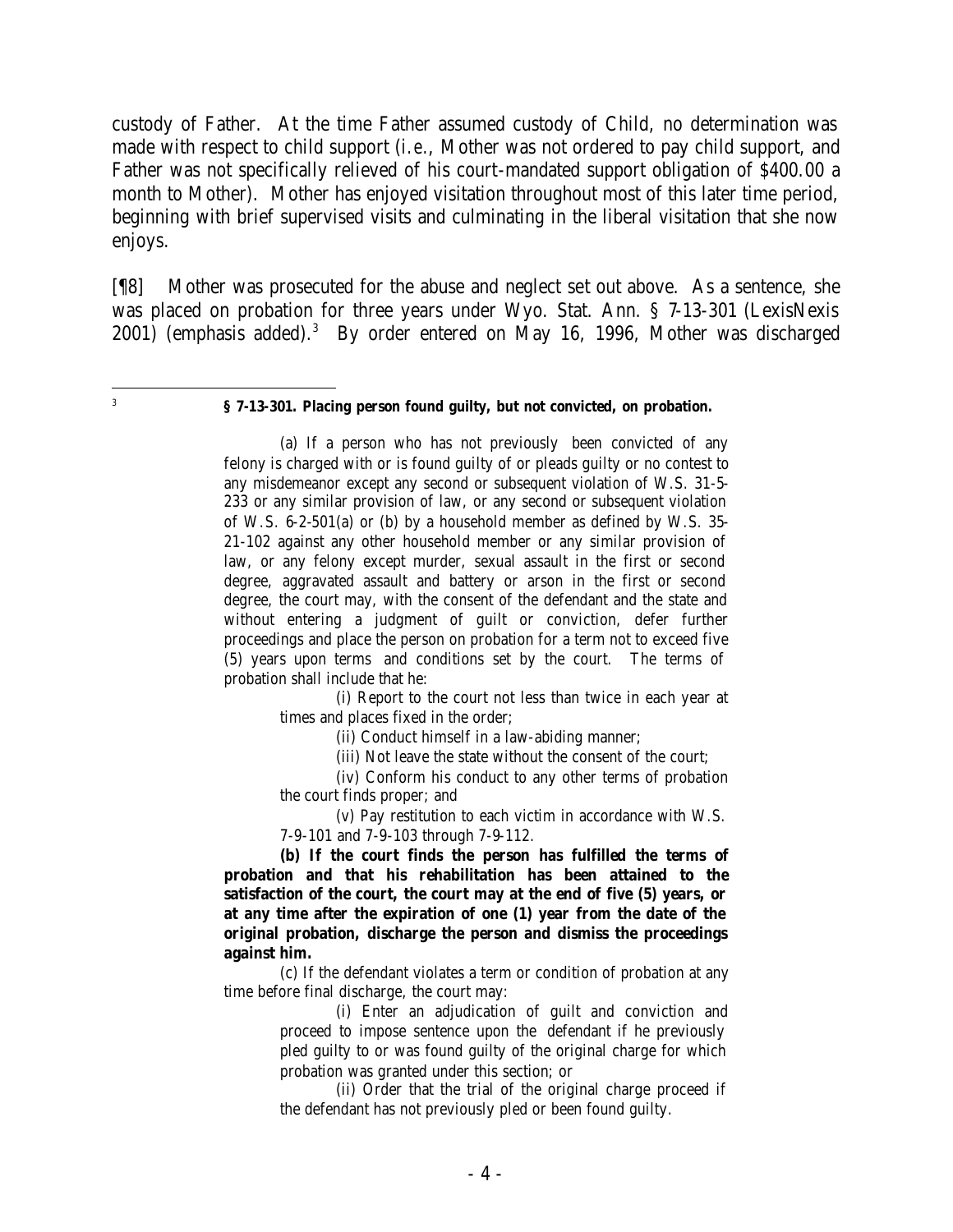custody of Father. At the time Father assumed custody of Child, no determination was made with respect to child support (*i.e.*, Mother was not ordered to pay child support, and Father was not specifically relieved of his court-mandated support obligation of \$400.00 a month to Mother). Mother has enjoyed visitation throughout most of this later time period, beginning with brief supervised visits and culminating in the liberal visitation that she now enjoys.

[¶8] Mother was prosecuted for the abuse and neglect set out above. As a sentence, she was placed on probation for three years under Wyo. Stat. Ann. § 7-13-301 (LexisNexis 2001) (emphasis added).<sup>3</sup> By order entered on May 16, 1996, Mother was discharged

 **§ 7-13-301. Placing person found guilty, but not convicted, on probation.**

 3

> (a) If a person who has not previously been convicted of any felony is charged with or is found guilty of or pleads guilty or no contest to any misdemeanor except any second or subsequent violation of W.S. 31-5- 233 or any similar provision of law, or any second or subsequent violation of W.S. 6-2-501(a) or (b) by a household member as defined by W.S. 35- 21-102 against any other household member or any similar provision of law, or any felony except murder, sexual assault in the first or second degree, aggravated assault and battery or arson in the first or second degree, the court may, with the consent of the defendant and the state and without entering a judgment of guilt or conviction, defer further proceedings and place the person on probation for a term not to exceed five (5) years upon terms and conditions set by the court. The terms of probation shall include that he:

(i) Report to the court not less than twice in each year at times and places fixed in the order;

(ii) Conduct himself in a law-abiding manner;

(iii) Not leave the state without the consent of the court;

(iv) Conform his conduct to any other terms of probation the court finds proper; and

(v) Pay restitution to each victim in accordance with W.S. 7-9-101 and 7-9-103 through 7-9-112.

**(b) If the court finds the person has fulfilled the terms of probation and that his rehabilitation has been attained to the satisfaction of the court, the court may at the end of five (5) years, or at any time after the expiration of one (1) year from the date of the original probation, discharge the person and dismiss the proceedings against him.**

(c) If the defendant violates a term or condition of probation at any time before final discharge, the court may:

(i) Enter an adjudication of guilt and conviction and proceed to impose sentence upon the defendant if he previously pled guilty to or was found guilty of the original charge for which probation was granted under this section; or

(ii) Order that the trial of the original charge proceed if the defendant has not previously pled or been found guilty.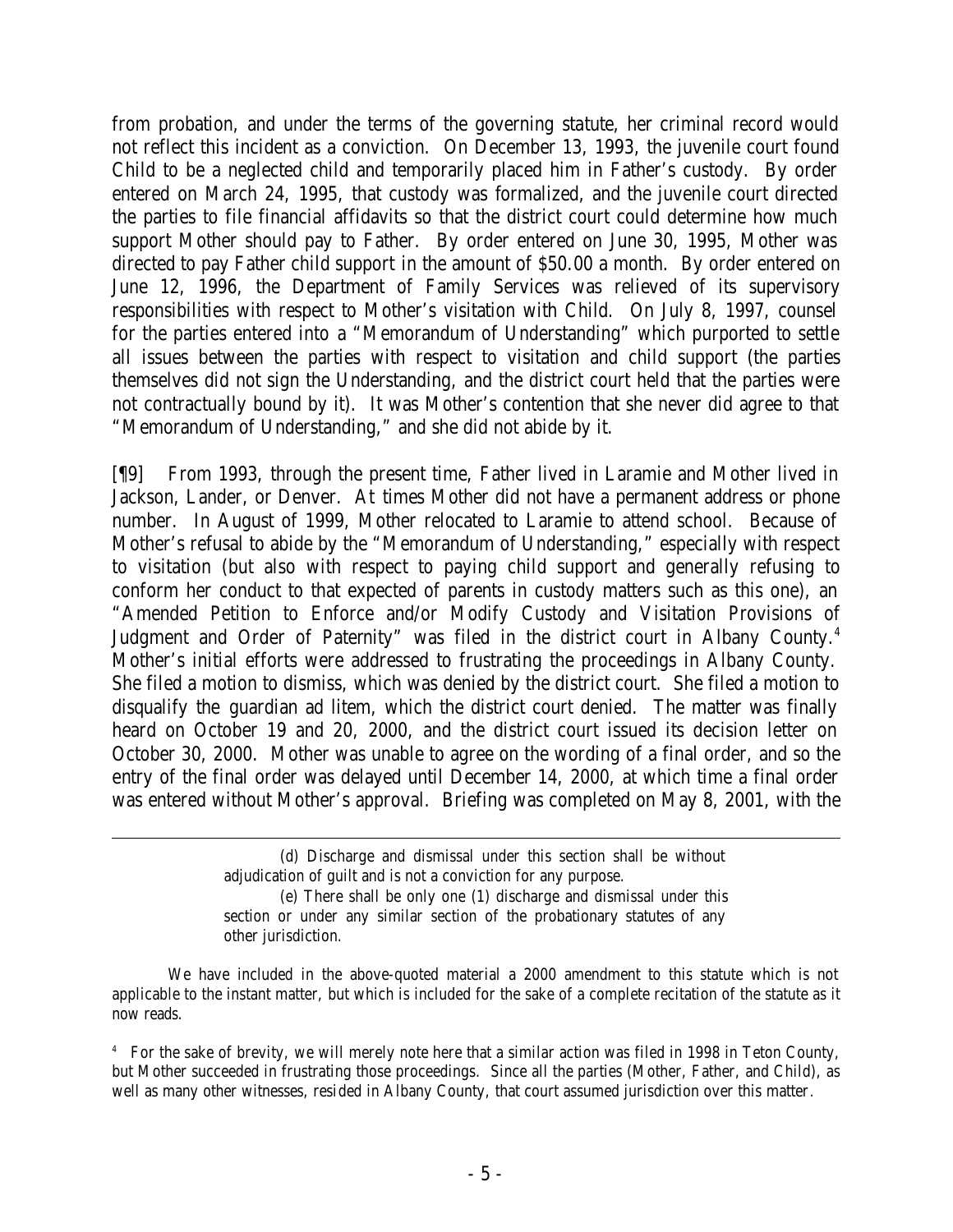from probation, and under the terms of the governing statute, her criminal record would not reflect this incident as a conviction. On December 13, 1993, the juvenile court found Child to be a neglected child and temporarily placed him in Father's custody. By order entered on March 24, 1995, that custody was formalized, and the juvenile court directed the parties to file financial affidavits so that the district court could determine how much support Mother should pay to Father. By order entered on June 30, 1995, Mother was directed to pay Father child support in the amount of \$50.00 a month. By order entered on June 12, 1996, the Department of Family Services was relieved of its supervisory responsibilities with respect to Mother's visitation with Child. On July 8, 1997, counsel for the parties entered into a "Memorandum of Understanding" which purported to settle all issues between the parties with respect to visitation and child support (the parties themselves did not sign the Understanding, and the district court held that the parties were not contractually bound by it). It was Mother's contention that she never did agree to that "Memorandum of Understanding," and she did not abide by it.

[¶9] From 1993, through the present time, Father lived in Laramie and Mother lived in Jackson, Lander, or Denver. At times Mother did not have a permanent address or phone number. In August of 1999, Mother relocated to Laramie to attend school. Because of Mother's refusal to abide by the "Memorandum of Understanding," especially with respect to visitation (but also with respect to paying child support and generally refusing to conform her conduct to that expected of parents in custody matters such as this one), an "Amended Petition to Enforce and/or Modify Custody and Visitation Provisions of Judgment and Order of Paternity" was filed in the district court in Albany County.<sup>4</sup> Mother's initial efforts were addressed to frustrating the proceedings in Albany County. She filed a motion to dismiss, which was denied by the district court. She filed a motion to disqualify the guardian ad litem, which the district court denied. The matter was finally heard on October 19 and 20, 2000, and the district court issued its decision letter on October 30, 2000. Mother was unable to agree on the wording of a final order, and so the entry of the final order was delayed until December 14, 2000, at which time a final order was entered without Mother's approval. Briefing was completed on May 8, 2001, with the

We have included in the above-quoted material a 2000 amendment to this statute which is not applicable to the instant matter, but which is included for the sake of a complete recitation of the statute as it now reads.

<sup>(</sup>d) Discharge and dismissal under this section shall be without adjudication of guilt and is not a conviction for any purpose. (e) There shall be only one (1) discharge and dismissal under this section or under any similar section of the probationary statutes of any

other jurisdiction.

<sup>4</sup> For the sake of brevity, we will merely note here that a similar action was filed in 1998 in Teton County, but Mother succeeded in frustrating those proceedings. Since all the parties (Mother, Father, and Child), as well as many other witnesses, resided in Albany County, that court assumed jurisdiction over this matter.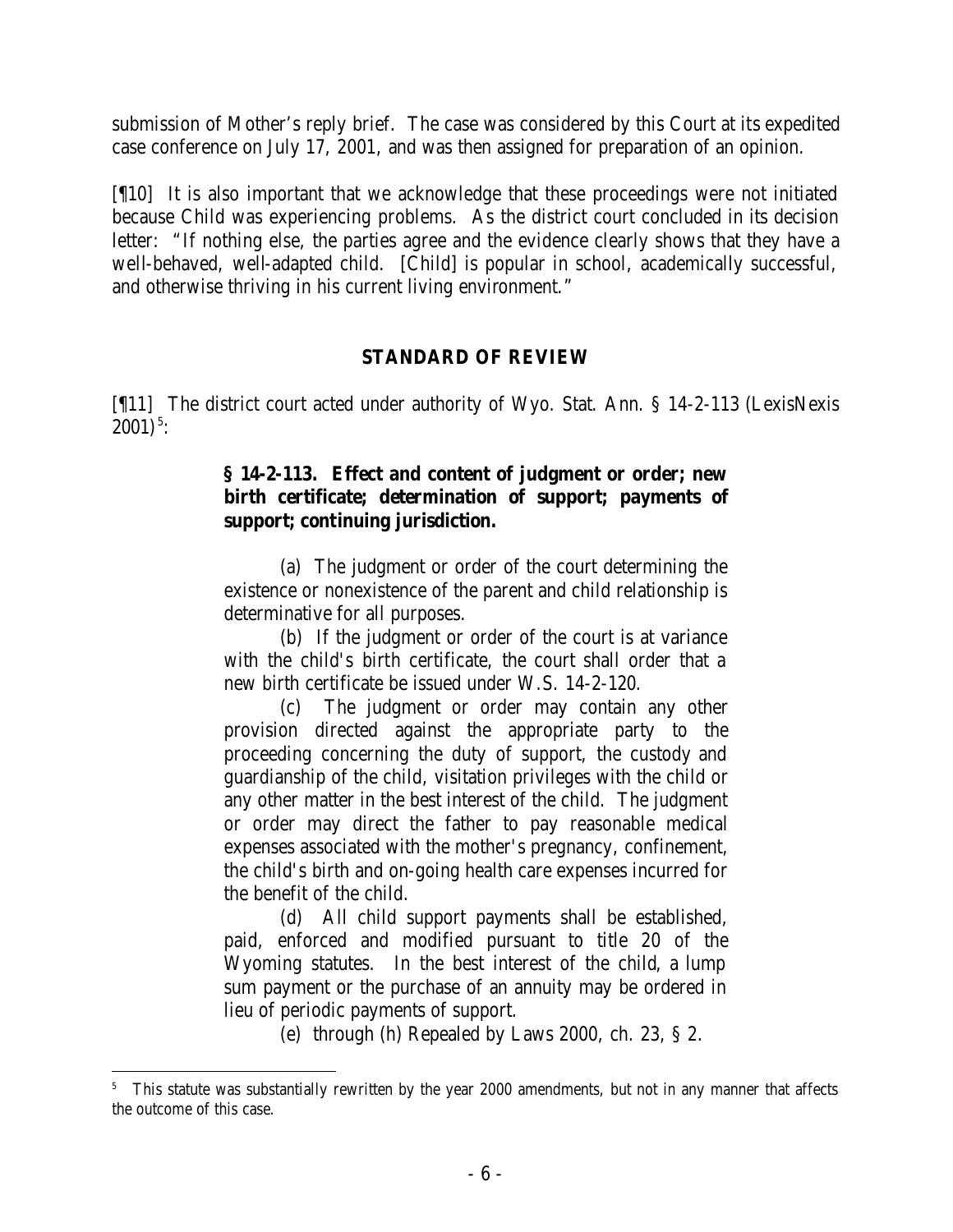submission of Mother's reply brief. The case was considered by this Court at its expedited case conference on July 17, 2001, and was then assigned for preparation of an opinion.

[¶10] It is also important that we acknowledge that these proceedings were not initiated because Child was experiencing problems. As the district court concluded in its decision letter: "If nothing else, the parties agree and the evidence clearly shows that they have a well-behaved, well-adapted child. [Child] is popular in school, academically successful, and otherwise thriving in his current living environment."

## **STANDARD OF REVIEW**

[¶11] The district court acted under authority of Wyo. Stat. Ann. § 14-2-113 (LexisNexis  $2001)^5$ :

### **§ 14-2-113. Effect and content of judgment or order; new birth certificate; determination of support; payments of support; continuing jurisdiction.**

(a) The judgment or order of the court determining the existence or nonexistence of the parent and child relationship is determinative for all purposes.

(b) If the judgment or order of the court is at variance with the child's birth certificate, the court shall order that a new birth certificate be issued under W.S. 14-2-120.

(c) The judgment or order may contain any other provision directed against the appropriate party to the proceeding concerning the duty of support, the custody and guardianship of the child, visitation privileges with the child or any other matter in the best interest of the child. The judgment or order may direct the father to pay reasonable medical expenses associated with the mother's pregnancy, confinement, the child's birth and on-going health care expenses incurred for the benefit of the child.

(d) All child support payments shall be established, paid, enforced and modified pursuant to title 20 of the Wyoming statutes. In the best interest of the child, a lump sum payment or the purchase of an annuity may be ordered in lieu of periodic payments of support.

(e) through (h) Repealed by Laws 2000, ch. 23, § 2.

<sup>&</sup>lt;sup>5</sup> This statute was substantially rewritten by the year 2000 amendments, but not in any manner that affects the outcome of this case.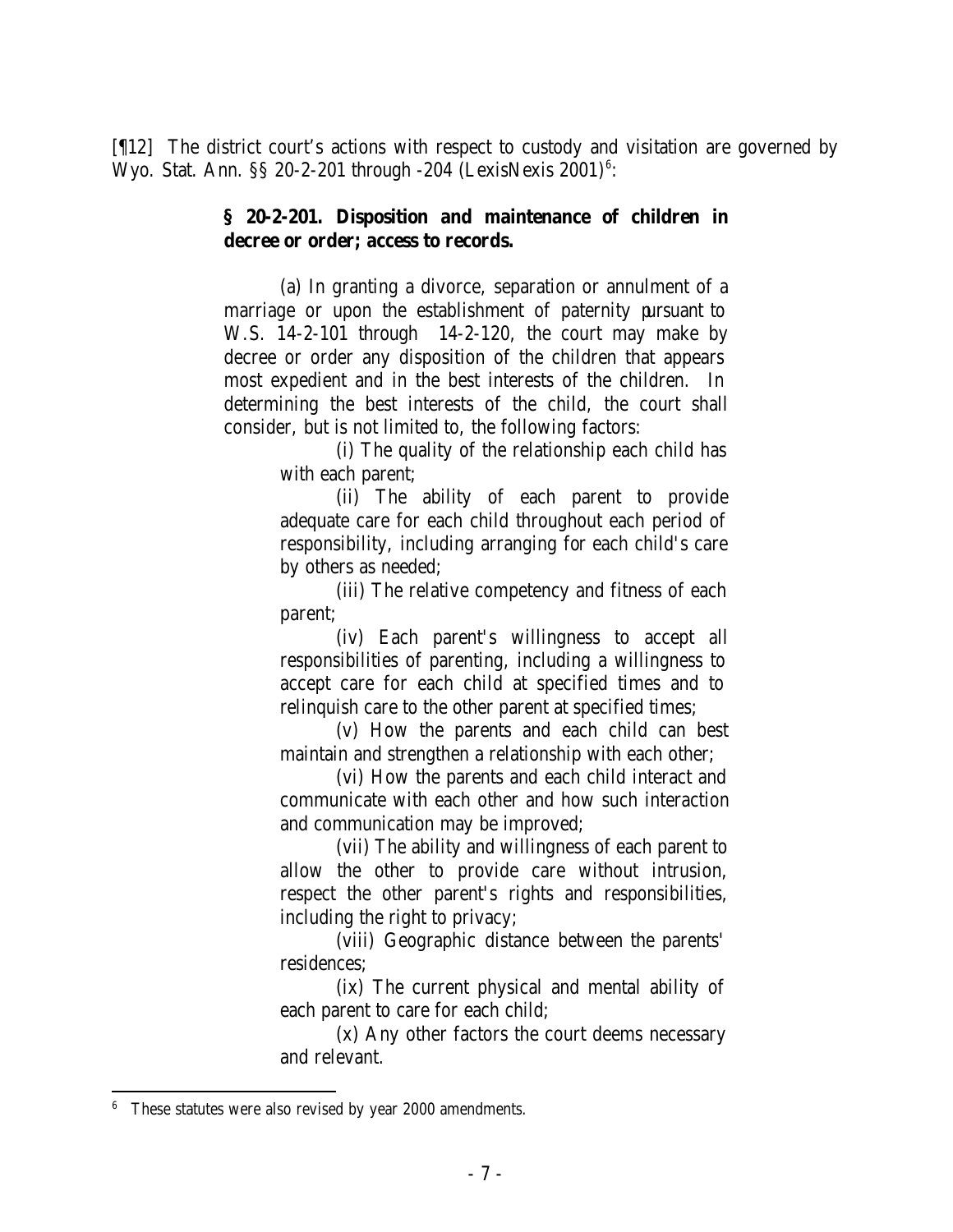[¶12] The district court's actions with respect to custody and visitation are governed by Wyo. Stat. Ann.  $\S$  20-2-201 through -204 (LexisNexis 2001)<sup>6</sup>:

#### **§ 20-2-201. Disposition and maintenance of children in decree or order; access to records.**

(a) In granting a divorce, separation or annulment of a marriage or upon the establishment of paternity pursuant to W.S. 14-2-101 through 14-2-120, the court may make by decree or order any disposition of the children that appears most expedient and in the best interests of the children. In determining the best interests of the child, the court shall consider, but is not limited to, the following factors:

(i) The quality of the relationship each child has with each parent;

(ii) The ability of each parent to provide adequate care for each child throughout each period of responsibility, including arranging for each child's care by others as needed;

(iii) The relative competency and fitness of each parent;

(iv) Each parent's willingness to accept all responsibilities of parenting, including a willingness to accept care for each child at specified times and to relinquish care to the other parent at specified times;

(v) How the parents and each child can best maintain and strengthen a relationship with each other;

(vi) How the parents and each child interact and communicate with each other and how such interaction and communication may be improved;

(vii) The ability and willingness of each parent to allow the other to provide care without intrusion, respect the other parent's rights and responsibilities, including the right to privacy;

(viii) Geographic distance between the parents' residences;

(ix) The current physical and mental ability of each parent to care for each child;

(x) Any other factors the court deems necessary and relevant.

<sup>6</sup> These statutes were also revised by year 2000 amendments.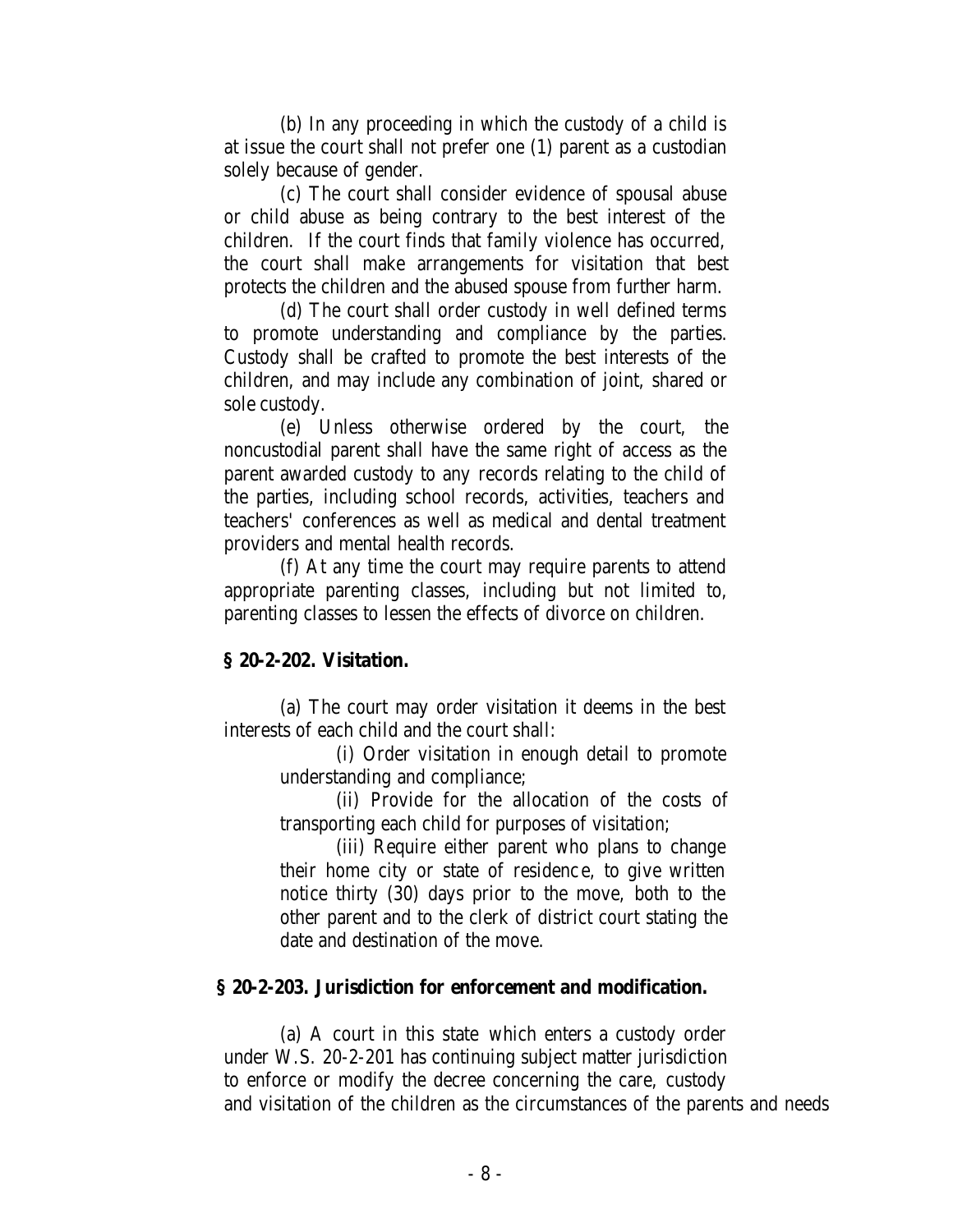(b) In any proceeding in which the custody of a child is at issue the court shall not prefer one (1) parent as a custodian solely because of gender.

(c) The court shall consider evidence of spousal abuse or child abuse as being contrary to the best interest of the children. If the court finds that family violence has occurred, the court shall make arrangements for visitation that best protects the children and the abused spouse from further harm.

(d) The court shall order custody in well defined terms to promote understanding and compliance by the parties. Custody shall be crafted to promote the best interests of the children, and may include any combination of joint, shared or sole custody.

(e) Unless otherwise ordered by the court, the noncustodial parent shall have the same right of access as the parent awarded custody to any records relating to the child of the parties, including school records, activities, teachers and teachers' conferences as well as medical and dental treatment providers and mental health records.

(f) At any time the court may require parents to attend appropriate parenting classes, including but not limited to, parenting classes to lessen the effects of divorce on children.

# **§ 20-2-202. Visitation.**

(a) The court may order visitation it deems in the best interests of each child and the court shall:

> (i) Order visitation in enough detail to promote understanding and compliance;

(ii) Provide for the allocation of the costs of transporting each child for purposes of visitation;

(iii) Require either parent who plans to change their home city or state of residenc e, to give written notice thirty (30) days prior to the move, both to the other parent and to the clerk of district court stating the date and destination of the move.

# **§ 20-2-203. Jurisdiction for enforcement and modification.**

(a) A court in this state which enters a custody order under W.S. 20-2-201 has continuing subject matter jurisdiction to enforce or modify the decree concerning the care, custody and visitation of the children as the circumstances of the parents and needs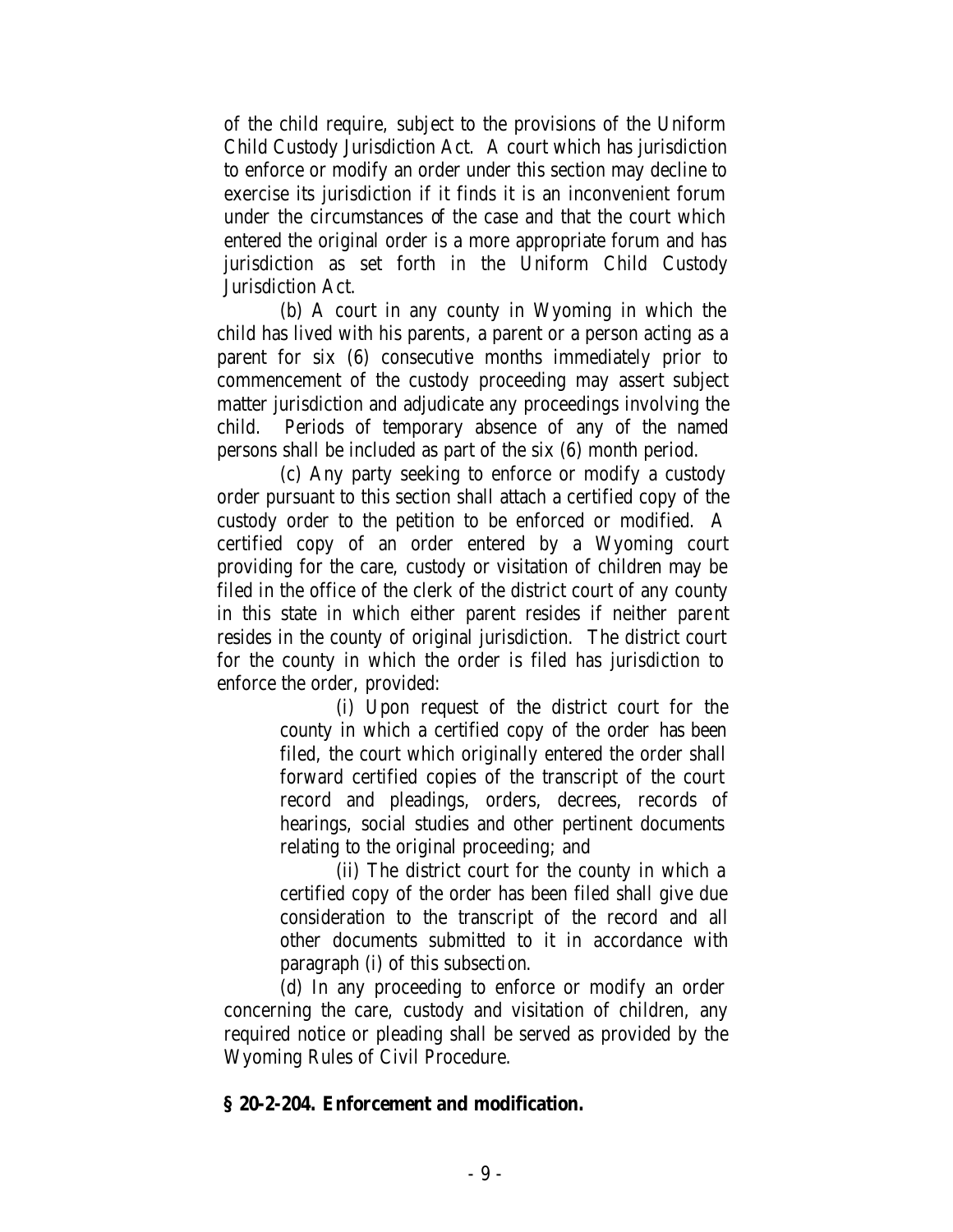of the child require, subject to the provisions of the Uniform Child Custody Jurisdiction Act. A court which has jurisdiction to enforce or modify an order under this section may decline to exercise its jurisdiction if it finds it is an inconvenient forum under the circumstances of the case and that the court which entered the original order is a more appropriate forum and has jurisdiction as set forth in the Uniform Child Custody Jurisdiction Act.

(b) A court in any county in Wyoming in which the child has lived with his parents, a parent or a person acting as a parent for six (6) consecutive months immediately prior to commencement of the custody proceeding may assert subject matter jurisdiction and adjudicate any proceedings involving the child. Periods of temporary absence of any of the named persons shall be included as part of the six (6) month period.

(c) Any party seeking to enforce or modify a custody order pursuant to this section shall attach a certified copy of the custody order to the petition to be enforced or modified. A certified copy of an order entered by a Wyoming court providing for the care, custody or visitation of children may be filed in the office of the clerk of the district court of any county in this state in which either parent resides if neither parent resides in the county of original jurisdiction. The district court for the county in which the order is filed has jurisdiction to enforce the order, provided:

> (i) Upon request of the district court for the county in which a certified copy of the order has been filed, the court which originally entered the order shall forward certified copies of the transcript of the court record and pleadings, orders, decrees, records of hearings, social studies and other pertinent documents relating to the original proceeding; and

> (ii) The district court for the county in which a certified copy of the order has been filed shall give due consideration to the transcript of the record and all other documents submitted to it in accordance with paragraph (i) of this subsection.

(d) In any proceeding to enforce or modify an order concerning the care, custody and visitation of children, any required notice or pleading shall be served as provided by the Wyoming Rules of Civil Procedure.

### **§ 20-2-204. Enforcement and modification.**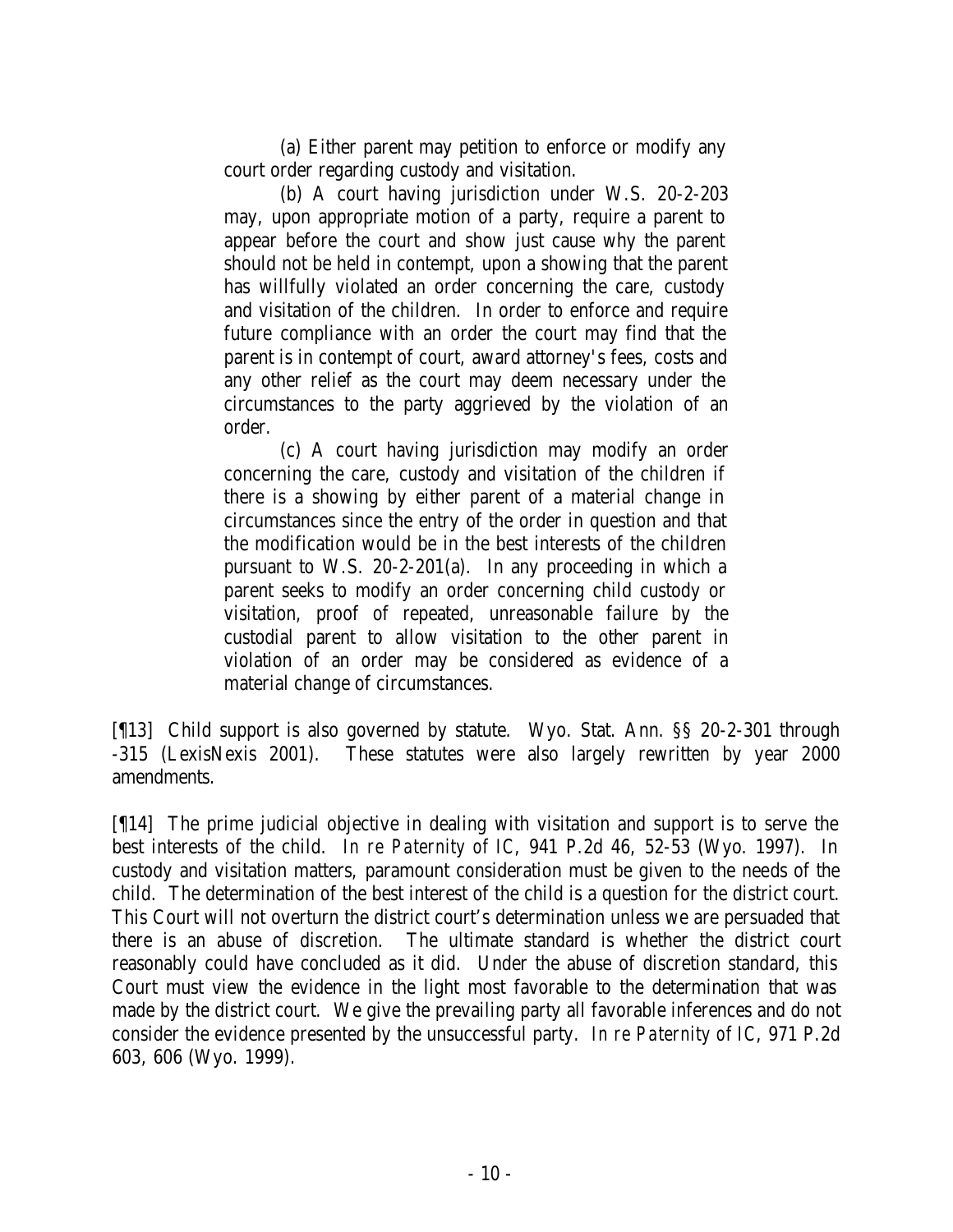(a) Either parent may petition to enforce or modify any court order regarding custody and visitation.

(b) A court having jurisdiction under W.S. 20-2-203 may, upon appropriate motion of a party, require a parent to appear before the court and show just cause why the parent should not be held in contempt, upon a showing that the parent has willfully violated an order concerning the care, custody and visitation of the children. In order to enforce and require future compliance with an order the court may find that the parent is in contempt of court, award attorney's fees, costs and any other relief as the court may deem necessary under the circumstances to the party aggrieved by the violation of an order.

(c) A court having jurisdiction may modify an order concerning the care, custody and visitation of the children if there is a showing by either parent of a material change in circumstances since the entry of the order in question and that the modification would be in the best interests of the children pursuant to W.S. 20-2-201(a). In any proceeding in which a parent seeks to modify an order concerning child custody or visitation, proof of repeated, unreasonable failure by the custodial parent to allow visitation to the other parent in violation of an order may be considered as evidence of a material change of circumstances.

[¶13] Child support is also governed by statute. Wyo. Stat. Ann. §§ 20-2-301 through -315 (LexisNexis 2001). These statutes were also largely rewritten by year 2000 amendments.

[¶14] The prime judicial objective in dealing with visitation and support is to serve the best interests of the child. *In re Paternity of IC*, 941 P.2d 46, 52-53 (Wyo. 1997). In custody and visitation matters, paramount consideration must be given to the needs of the child. The determination of the best interest of the child is a question for the district court. This Court will not overturn the district court's determination unless we are persuaded that there is an abuse of discretion. The ultimate standard is whether the district court reasonably could have concluded as it did. Under the abuse of discretion standard, this Court must view the evidence in the light most favorable to the determination that was made by the district court. We give the prevailing party all favorable inferences and do not consider the evidence presented by the unsuccessful party. *In re Paternity of IC*, 971 P.2d 603, 606 (Wyo. 1999).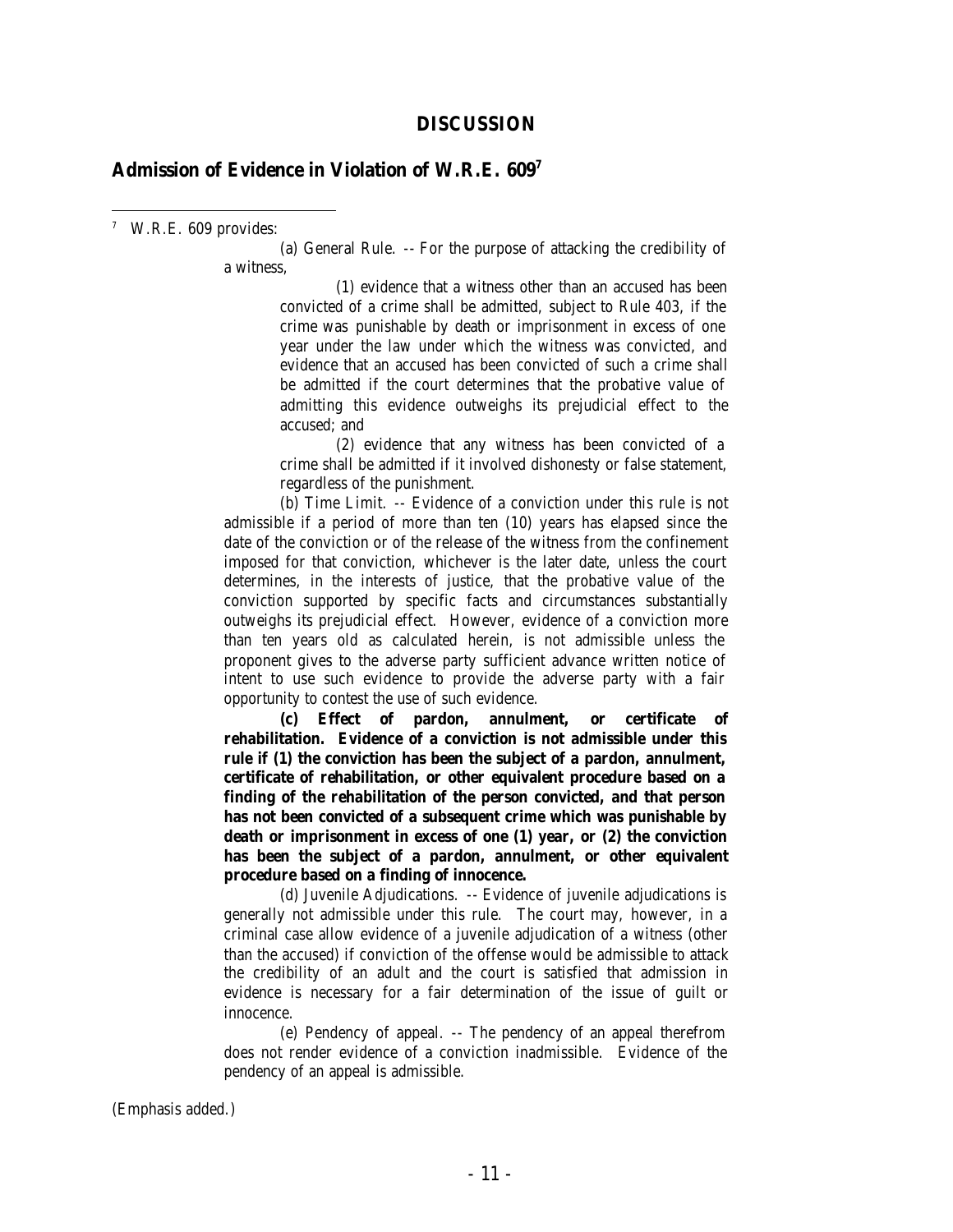#### **DISCUSSION**

#### **Admission of Evidence in Violation of W.R.E. 609<sup>7</sup>**

7 W.R.E. 609 provides:

(a) General Rule. -- For the purpose of attacking the credibility of a witness,

> (1) evidence that a witness other than an accused has been convicted of a crime shall be admitted, subject to Rule 403, if the crime was punishable by death or imprisonment in excess of one year under the law under which the witness was convicted, and evidence that an accused has been convicted of such a crime shall be admitted if the court determines that the probative value of admitting this evidence outweighs its prejudicial effect to the accused; and

> (2) evidence that any witness has been convicted of a crime shall be admitted if it involved dishonesty or false statement, regardless of the punishment.

(b) Time Limit. -- Evidence of a conviction under this rule is not admissible if a period of more than ten (10) years has elapsed since the date of the conviction or of the release of the witness from the confinement imposed for that conviction, whichever is the later date, unless the court determines, in the interests of justice, that the probative value of the conviction supported by specific facts and circumstances substantially outweighs its prejudicial effect. However, evidence of a conviction more than ten years old as calculated herein, is not admissible unless the proponent gives to the adverse party sufficient advance written notice of intent to use such evidence to provide the adverse party with a fair opportunity to contest the use of such evidence.

**(c) Effect of pardon, annulment, or certificate of rehabilitation. Evidence of a conviction is not admissible under this rule if (1) the conviction has been the subject of a pardon, annulment, certificate of rehabilitation, or other equivalent procedure based on a finding of the rehabilitation of the person convicted, and that person has not been convicted of a subsequent crime which was punishable by death or imprisonment in excess of one (1) year, or (2) the conviction has been the subject of a pardon, annulment, or other equivalent procedure based on a finding of innocence.**

(d) Juvenile Adjudications. -- Evidence of juvenile adjudications is generally not admissible under this rule. The court may, however, in a criminal case allow evidence of a juvenile adjudication of a witness (other than the accused) if conviction of the offense would be admissible to attack the credibility of an adult and the court is satisfied that admission in evidence is necessary for a fair determination of the issue of guilt or innocence.

(e) Pendency of appeal. -- The pendency of an appeal therefrom does not render evidence of a conviction inadmissible. Evidence of the pendency of an appeal is admissible.

(Emphasis added.)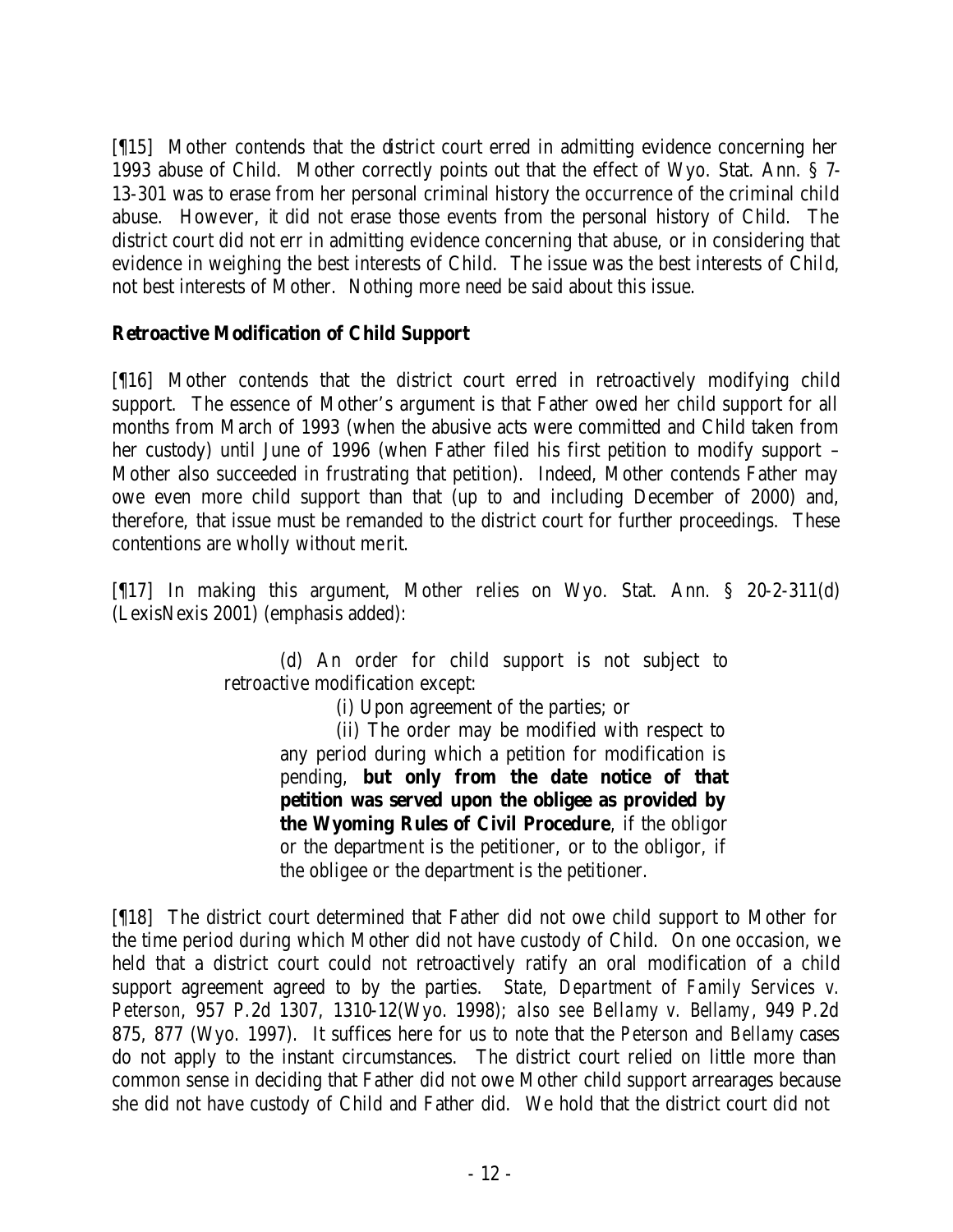[¶15] Mother contends that the district court erred in admitting evidence concerning her 1993 abuse of Child. Mother correctly points out that the effect of Wyo. Stat. Ann. § 7- 13-301 was to erase from her personal criminal history the occurrence of the criminal child abuse. However, it did not erase those events from the personal history of Child. The district court did not err in admitting evidence concerning that abuse, or in considering that evidence in weighing the best interests of Child. The issue was the best interests of Child, not best interests of Mother. Nothing more need be said about this issue.

# **Retroactive Modification of Child Support**

[¶16] Mother contends that the district court erred in retroactively modifying child support. The essence of Mother's argument is that Father owed her child support for all months from March of 1993 (when the abusive acts were committed and Child taken from her custody) until June of 1996 (when Father filed his first petition to modify support – Mother also succeeded in frustrating that petition). Indeed, Mother contends Father may owe even more child support than that (up to and including December of 2000) and, therefore, that issue must be remanded to the district court for further proceedings. These contentions are wholly without merit.

[¶17] In making this argument, Mother relies on Wyo. Stat. Ann. § 20-2-311(d) (LexisNexis 2001) (emphasis added):

> (d) An order for child support is not subject to retroactive modification except:

(i) Upon agreement of the parties; or

(ii) The order may be modified with respect to any period during which a petition for modification is pending, **but only from the date notice of that petition was served upon the obligee as provided by the Wyoming Rules of Civil Procedure**, if the obligor or the department is the petitioner, or to the obligor, if the obligee or the department is the petitioner.

[¶18] The district court determined that Father did not owe child support to Mother for the time period during which Mother did not have custody of Child. On one occasion, we held that a district court could not retroactively ratify an oral modification of a child support agreement agreed to by the parties. *State, Department of Family Services v. Peterson*, 957 P.2d 1307, 1310-12(Wyo. 1998); *also see Bellamy v. Bellamy*, 949 P.2d 875, 877 (Wyo. 1997). It suffices here for us to note that the *Peterson* and *Bellamy* cases do not apply to the instant circumstances. The district court relied on little more than common sense in deciding that Father did not owe Mother child support arrearages because she did not have custody of Child and Father did. We hold that the district court did not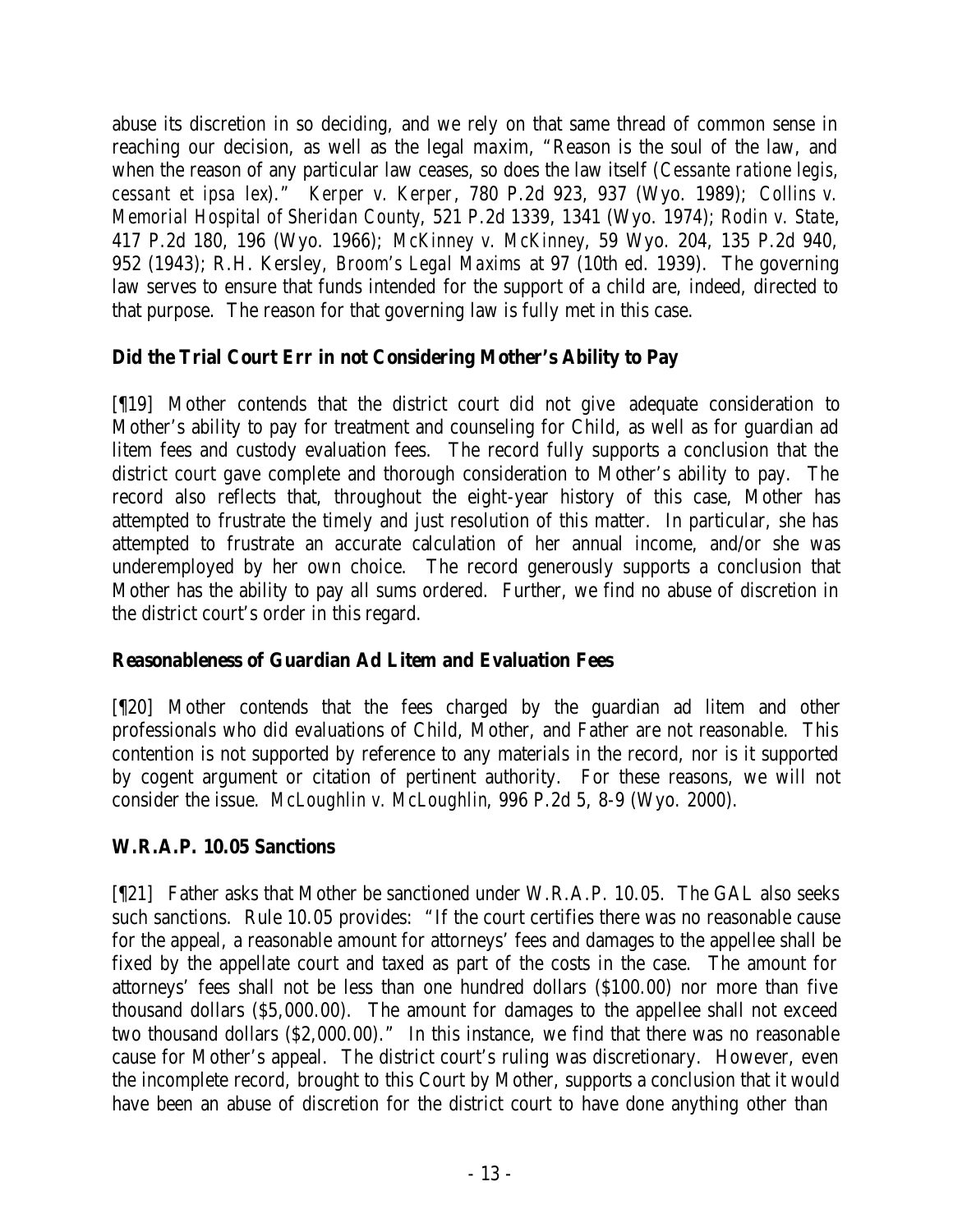abuse its discretion in so deciding, and we rely on that same thread of common sense in reaching our decision, as well as the legal maxim, "Reason is the soul of the law, and when the reason of any particular law ceases, so does the law itself (*Cessante ratione legis, cessant et ipsa lex*)." *Kerper v. Kerper*, 780 P.2d 923, 937 (Wyo. 1989); *Collins v. Memorial Hospital of Sheridan County*, 521 P.2d 1339, 1341 (Wyo. 1974); *Rodin v. State*, 417 P.2d 180, 196 (Wyo. 1966); *McKinney v. McKinney*, 59 Wyo. 204, 135 P.2d 940, 952 (1943); R.H. Kersley, *Broom's Legal Maxims* at 97 (10th ed. 1939). The governing law serves to ensure that funds intended for the support of a child are, indeed, directed to that purpose. The reason for that governing law is fully met in this case.

# **Did the Trial Court Err in not Considering Mother's Ability to Pay**

[¶19] Mother contends that the district court did not give adequate consideration to Mother's ability to pay for treatment and counseling for Child, as well as for guardian ad litem fees and custody evaluation fees. The record fully supports a conclusion that the district court gave complete and thorough consideration to Mother's ability to pay. The record also reflects that, throughout the eight-year history of this case, Mother has attempted to frustrate the timely and just resolution of this matter. In particular, she has attempted to frustrate an accurate calculation of her annual income, and/or she was underemployed by her own choice. The record generously supports a conclusion that Mother has the ability to pay all sums ordered. Further, we find no abuse of discretion in the district court's order in this regard.

# **Reasonableness of Guardian Ad Litem and Evaluation Fees**

[¶20] Mother contends that the fees charged by the guardian ad litem and other professionals who did evaluations of Child, Mother, and Father are not reasonable. This contention is not supported by reference to any materials in the record, nor is it supported by cogent argument or citation of pertinent authority. For these reasons, we will not consider the issue. *McLoughlin v. McLoughlin*, 996 P.2d 5, 8-9 (Wyo. 2000).

# **W.R.A.P. 10.05 Sanctions**

[¶21] Father asks that Mother be sanctioned under W.R.A.P. 10.05. The GAL also seeks such sanctions. Rule 10.05 provides: "If the court certifies there was no reasonable cause for the appeal, a reasonable amount for attorneys' fees and damages to the appellee shall be fixed by the appellate court and taxed as part of the costs in the case. The amount for attorneys' fees shall not be less than one hundred dollars (\$100.00) nor more than five thousand dollars (\$5,000.00). The amount for damages to the appellee shall not exceed two thousand dollars (\$2,000.00)." In this instance, we find that there was no reasonable cause for Mother's appeal. The district court's ruling was discretionary. However, even the incomplete record, brought to this Court by Mother, supports a conclusion that it would have been an abuse of discretion for the district court to have done anything other than